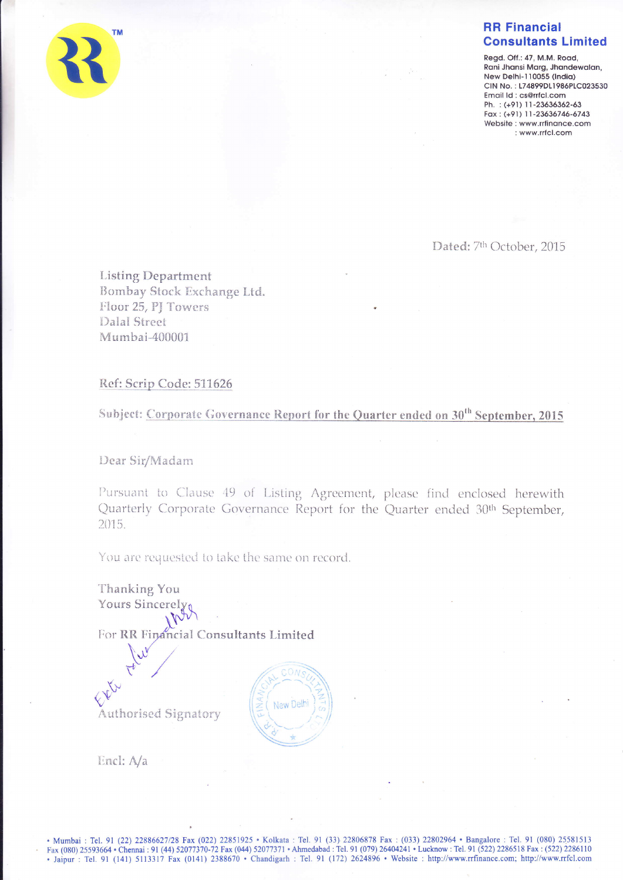

Regd. Off.: 47, M.M. Road, Rani Jhansi Marg, Jhandewalan, New Delhi-110055 (India) CIN No.: L74899DL1986PLC023530 Email Id: cs@rrfcl.com Ph.: (+91) 11-23636362-63 Fax: (+91) 11-23636746-6743 Website: www.rrfinance.com : www.rrfcl.com

Dated: 7th October, 2015

**Listing Department** Bombay Stock Exchange Ltd. Floor 25, PJ Towers **Dalal Street** Mumbai-400001

## Ref: Scrip Code: 511626

Subject: Corporate Governance Report for the Quarter ended on 30<sup>th</sup> September, 2015

Dear Sir/Madam

Pursuant to Clause 49 of Listing Agreement, please find enclosed herewith Quarterly Corporate Governance Report for the Quarter ended 30<sup>th</sup> September, 2015.

You are requested to take the same on record.

Thanking You **Yours Sincerely** For RR Financial Consultants Limited



Encl: A/a

**Authorised Signatory** 

EXIL

. Mumbai : Tel. 91 (22) 22886627/28 Fax (022) 22851925 · Kolkata : Tel. 91 (33) 22806878 Fax : (033) 22802964 · Bangalore : Tel. 91 (080) 25581513 Fax (080) 25593664 • Chennai : 91 (44) 52077370-72 Fax (044) 52077371 • Ahmedabad : Tel. 91 (079) 26404241 • Lucknow : Tel. 91 (522) 2286518 Fax : (522) 2286110<br>• Jaipur : Tel. 91 (141) 5113317 Fax (0141) 2388670 • Chandig